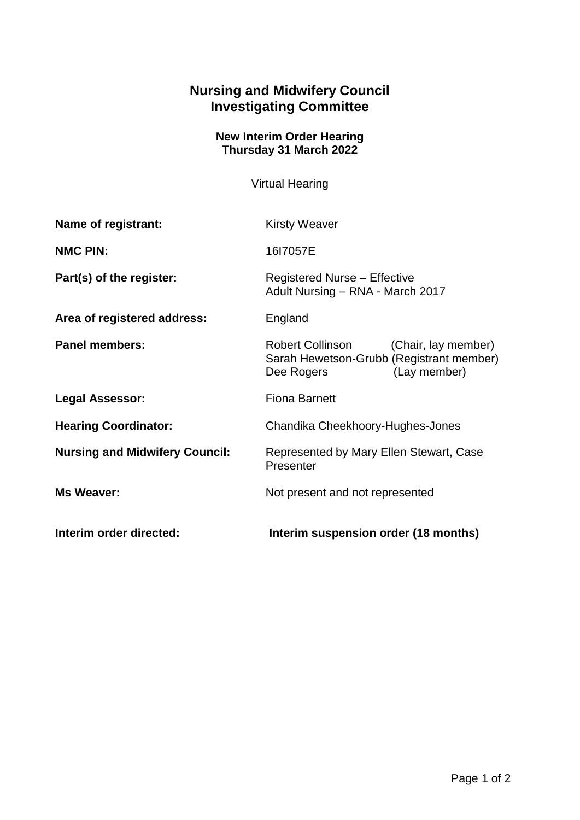## **Nursing and Midwifery Council Investigating Committee**

## **New Interim Order Hearing Thursday 31 March 2022**

Virtual Hearing

| Interim order directed:               | Interim suspension order (18 months)                                                                           |
|---------------------------------------|----------------------------------------------------------------------------------------------------------------|
| <b>Ms Weaver:</b>                     | Not present and not represented                                                                                |
| <b>Nursing and Midwifery Council:</b> | Represented by Mary Ellen Stewart, Case<br>Presenter                                                           |
| <b>Hearing Coordinator:</b>           | Chandika Cheekhoory-Hughes-Jones                                                                               |
| <b>Legal Assessor:</b>                | <b>Fiona Barnett</b>                                                                                           |
| <b>Panel members:</b>                 | Robert Collinson (Chair, lay member)<br>Sarah Hewetson-Grubb (Registrant member)<br>(Lay member)<br>Dee Rogers |
| Area of registered address:           | England                                                                                                        |
| Part(s) of the register:              | <b>Registered Nurse - Effective</b><br>Adult Nursing - RNA - March 2017                                        |
| <b>NMC PIN:</b>                       | 1617057E                                                                                                       |
| Name of registrant:                   | <b>Kirsty Weaver</b>                                                                                           |